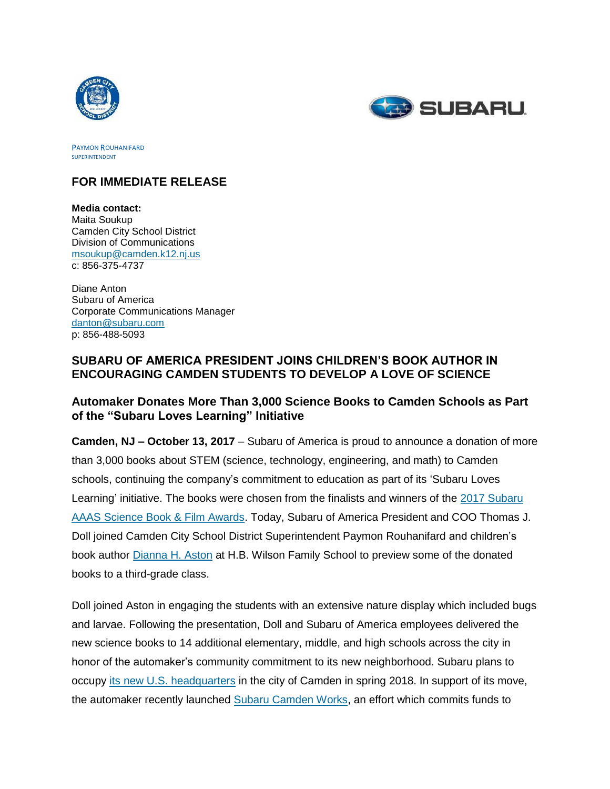



PAYMON ROUHANIFARD SUPERINTENDENT

## **FOR IMMEDIATE RELEASE**

**Media contact:** Maita Soukup Camden City School District Division of Communications [msoukup@camden.k12.nj.us](mailto:msoukup@camden.k12.nj.us) c: 856-375-4737

Diane Anton Subaru of America Corporate Communications Manager [danton@subaru.com](mailto:danton@subaru.com) p: 856-488-5093

# **SUBARU OF AMERICA PRESIDENT JOINS CHILDREN'S BOOK AUTHOR IN ENCOURAGING CAMDEN STUDENTS TO DEVELOP A LOVE OF SCIENCE**

## **Automaker Donates More Than 3,000 Science Books to Camden Schools as Part of the "Subaru Loves Learning" Initiative**

**Camden, NJ – October 13, 2017** – Subaru of America is proud to announce a donation of more than 3,000 books about STEM (science, technology, engineering, and math) to Camden schools, continuing the company's commitment to education as part of its 'Subaru Loves Learning' initiative. The books were chosen from the finalists and winners of the [2017 Subaru](http://media.subaru.com/pressrelease/1076/1/2017-aaas-subaru-science-books-film-prize-winners)  [AAAS Science Book & Film Awards.](http://media.subaru.com/pressrelease/1076/1/2017-aaas-subaru-science-books-film-prize-winners) Today, Subaru of America President and COO Thomas J. Doll joined Camden City School District Superintendent Paymon Rouhanifard and children's book author [Dianna H. Aston](http://diannahaston.com/) at H.B. Wilson Family School to preview some of the donated books to a third-grade class.

Doll joined Aston in engaging the students with an extensive nature display which included bugs and larvae. Following the presentation, Doll and Subaru of America employees delivered the new science books to 14 additional elementary, middle, and high schools across the city in honor of the automaker's community commitment to its new neighborhood. Subaru plans to occupy its new U.S. [headquarters](http://media.subaru.com/pressrelease/903/1/subaru-america-breaks-ground-new-headquarters-camden-nj) in the city of Camden in spring 2018. In support of its move, the automaker recently launched [Subaru Camden Works,](http://media.subaru.com/pressrelease/1134/1/subaru-america-announces-commitment-camden-via-new-subaru) an effort which commits funds to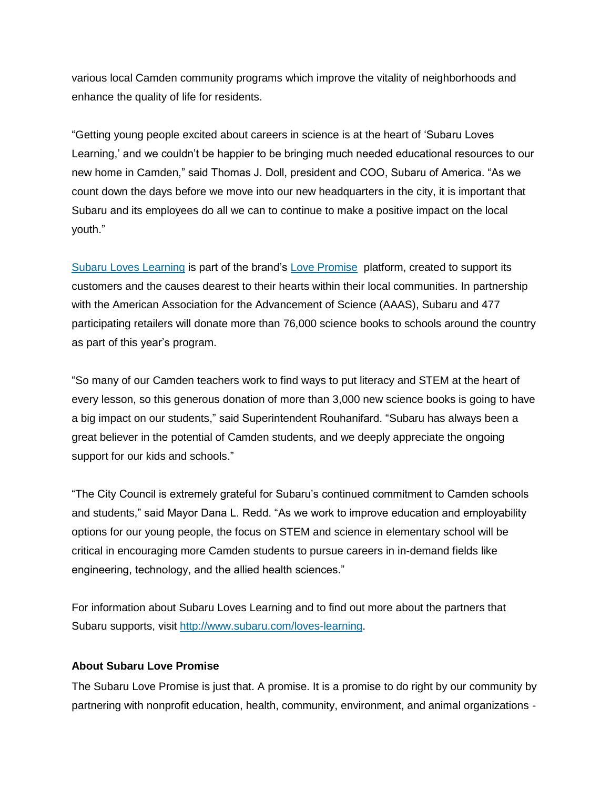various local Camden community programs which improve the vitality of neighborhoods and enhance the quality of life for residents.

"Getting young people excited about careers in science is at the heart of 'Subaru Loves Learning,' and we couldn't be happier to be bringing much needed educational resources to our new home in Camden," said Thomas J. Doll, president and COO, Subaru of America. "As we count down the days before we move into our new headquarters in the city, it is important that Subaru and its employees do all we can to continue to make a positive impact on the local youth."

[Subaru Loves Learning](http://media.subaru.com/pressrelease/1185/subaru-loves-learning-initiative-brings-world-science-students) is part of the brand's [Love Promise](file://///mww-nyc-fs1/clients/Subaru%20of%20America/2016/Events%20and%20Activations/Camden%20Book%20Donation/Paymon%20Rouhanifard,%20Superintendent,%20Camden%20City%20School%20District) platform, created to support its customers and the causes dearest to their hearts within their local communities. In partnership with the American Association for the Advancement of Science (AAAS), Subaru and 477 participating retailers will donate more than 76,000 science books to schools around the country as part of this year's program.

"So many of our Camden teachers work to find ways to put literacy and STEM at the heart of every lesson, so this generous donation of more than 3,000 new science books is going to have a big impact on our students," said Superintendent Rouhanifard. "Subaru has always been a great believer in the potential of Camden students, and we deeply appreciate the ongoing support for our kids and schools."

"The City Council is extremely grateful for Subaru's continued commitment to Camden schools and students," said Mayor Dana L. Redd. "As we work to improve education and employability options for our young people, the focus on STEM and science in elementary school will be critical in encouraging more Camden students to pursue careers in in-demand fields like engineering, technology, and the allied health sciences."

For information about Subaru Loves Learning and to find out more about the partners that Subaru supports, visit [http://www.subaru.com/loves-learning.](http://www.subaru.com/loves-learning)

#### **About Subaru Love Promise**

The Subaru Love Promise is just that. A promise. It is a promise to do right by our community by partnering with nonprofit education, health, community, environment, and animal organizations -